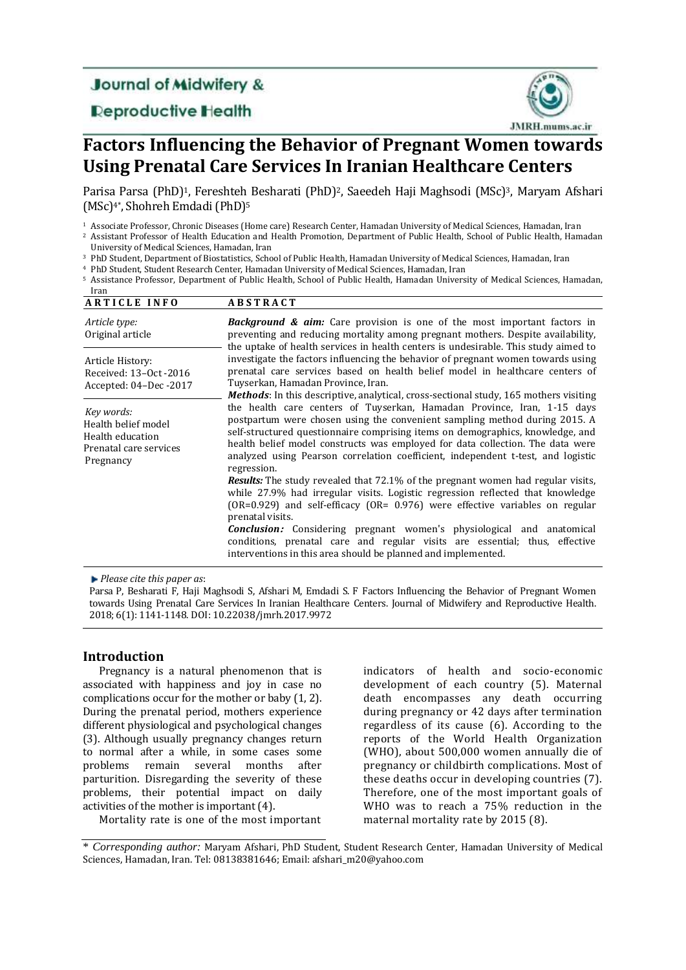## **Journal of Midwifery &**

**Deproductive Health** 



# **Factors Influencing the Behavior of Pregnant Women towards Using Prenatal Care Services In Iranian Healthcare Centers**

Parisa Parsa (PhD)<sup>1</sup>, Fereshteh Besharati (PhD)<sup>2</sup>, Saeedeh Haji Maghsodi (MSc)<sup>3</sup>, Maryam Afshari (MSc) 4\*, Shohreh Emdadi (PhD) 5

<sup>1</sup> Associate Professor, Chronic Diseases (Home care) Research Center, Hamadan University of Medical Sciences, Hamadan, Iran

<sup>2</sup> Assistant Professor of Health Education and Health Promotion, Department of Public Health, School of Public Health, Hamadan University of Medical Sciences, Hamadan, Iran

<sup>3</sup> PhD Student, Department of Biostatistics, School of Public Health, Hamadan University of Medical Sciences, Hamadan, Iran

<sup>4</sup> PhD Student, Student Research Center, Hamadan University of Medical Sciences, Hamadan, Iran

<sup>5</sup> Assistance Professor, Department of Public Health, School of Public Health, Hamadan University of Medical Sciences, Hamadan,

| Iran                                                                                         |                                                                                                                                                                                                                                                                                                                                                                                                                              |
|----------------------------------------------------------------------------------------------|------------------------------------------------------------------------------------------------------------------------------------------------------------------------------------------------------------------------------------------------------------------------------------------------------------------------------------------------------------------------------------------------------------------------------|
| <b>ARTICLE INFO</b>                                                                          | <b>ABSTRACT</b>                                                                                                                                                                                                                                                                                                                                                                                                              |
| Article type:<br>Original article                                                            | <b>Background &amp; aim:</b> Care provision is one of the most important factors in<br>preventing and reducing mortality among pregnant mothers. Despite availability,<br>the uptake of health services in health centers is undesirable. This study aimed to                                                                                                                                                                |
| Article History:<br>Received: 13-0ct -2016<br>Accepted: 04-Dec-2017                          | investigate the factors influencing the behavior of pregnant women towards using<br>prenatal care services based on health belief model in healthcare centers of<br>Tuyserkan, Hamadan Province, Iran.<br><b>Methods:</b> In this descriptive, analytical, cross-sectional study, 165 mothers visiting                                                                                                                       |
| Key words:<br>Health belief model<br>Health education<br>Prenatal care services<br>Pregnancy | the health care centers of Tuyserkan, Hamadan Province, Iran, 1-15 days<br>postpartum were chosen using the convenient sampling method during 2015. A<br>self-structured questionnaire comprising items on demographics, knowledge, and<br>health belief model constructs was employed for data collection. The data were<br>analyzed using Pearson correlation coefficient, independent t-test, and logistic<br>regression. |
|                                                                                              | <b>Results:</b> The study revealed that 72.1% of the pregnant women had regular visits,<br>while 27.9% had irregular visits. Logistic regression reflected that knowledge<br>$(OR=0.929)$ and self-efficacy $(OR=0.976)$ were effective variables on regular<br>prenatal visits.                                                                                                                                             |
|                                                                                              | <b>Conclusion:</b> Considering pregnant women's physiological and anatomical<br>conditions, prenatal care and regular visits are essential; thus, effective<br>interventions in this area should be planned and implemented.                                                                                                                                                                                                 |

*Please cite this paper as*:

Parsa P, Besharati F, Haji Maghsodi S, Afshari M, Emdadi S. F Factors Influencing the Behavior of Pregnant Women towards Using Prenatal Care Services In Iranian Healthcare Centers. Journal of Midwifery and Reproductive Health. 2018; 6(1): 1141-1148. DOI: 10.22038/jmrh.2017.9972

## **Introduction**

Pregnancy is a natural phenomenon that is associated with happiness and joy in case no complications occur for the mother or baby (1, 2). During the prenatal period, mothers experience different physiological and psychological changes (3). Although usually pregnancy changes return to normal after a while, in some cases some problems remain several months after parturition. Disregarding the severity of these problems, their potential impact on daily activities of the mother is important (4).

Mortality rate is one of the most important

indicators of health and socio-economic development of each country (5). Maternal death encompasses any death occurring during pregnancy or 42 days after termination regardless of its cause (6). According to the reports of the World Health Organization (WHO), about 500,000 women annually die of pregnancy or childbirth complications. Most of these deaths occur in developing countries (7). Therefore, one of the most important goals of WHO was to reach a 75% reduction in the maternal mortality rate by 2015 (8).

\* *Corresponding author:* Maryam Afshari, PhD Student, Student Research Center, Hamadan University of Medical Sciences, Hamadan, Iran. Tel: 08138381646; Email: afshari\_m20@yahoo.com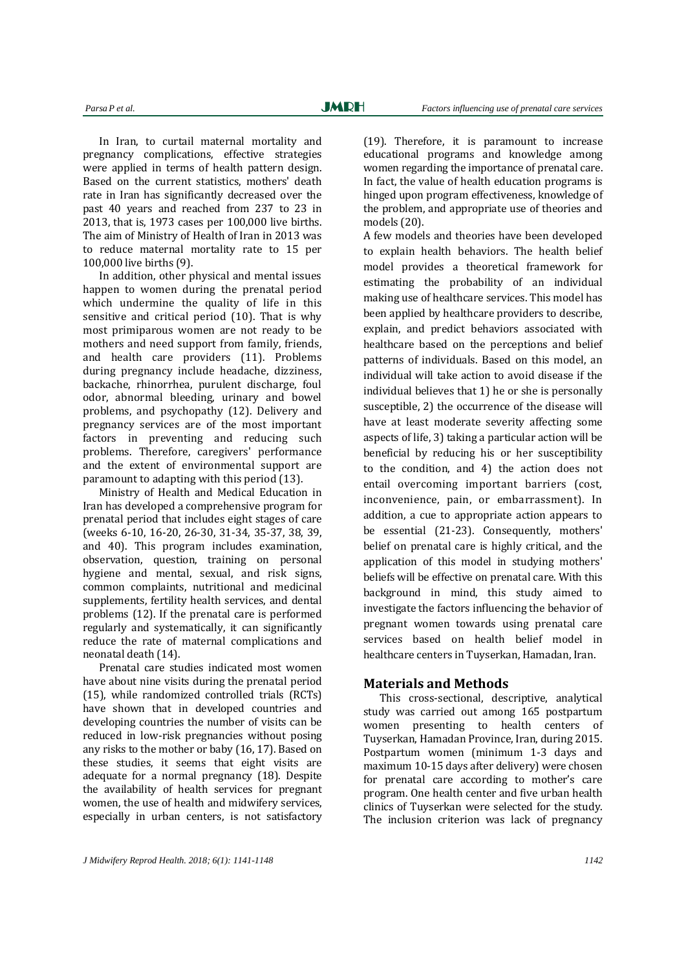In Iran, to curtail maternal mortality and pregnancy complications, effective strategies were applied in terms of health pattern design. Based on the current statistics, mothers' death rate in Iran has significantly decreased over the past 40 years and reached from 237 to 23 in 2013, that is, 1973 cases per 100,000 live births. The aim of Ministry of Health of Iran in 2013 was to reduce maternal mortality rate to 15 per 100,000 live births (9).

In addition, other physical and mental issues happen to women during the prenatal period which undermine the quality of life in this sensitive and critical period (10). That is why most primiparous women are not ready to be mothers and need support from family, friends, and health care providers (11). Problems during pregnancy include headache, dizziness, backache, rhinorrhea, purulent discharge, foul odor, abnormal bleeding, urinary and bowel problems, and psychopathy (12). Delivery and pregnancy services are of the most important factors in preventing and reducing such problems. Therefore, caregivers' performance and the extent of environmental support are paramount to adapting with this period (13).

Ministry of Health and Medical Education in Iran has developed a comprehensive program for prenatal period that includes eight stages of care (weeks 6-10, 16-20, 26-30, 31-34, 35-37, 38, 39, and 40). This program includes examination, observation, question, training on personal hygiene and mental, sexual, and risk signs, common complaints, nutritional and medicinal supplements, fertility health services, and dental problems (12). If the prenatal care is performed regularly and systematically, it can significantly reduce the rate of maternal complications and neonatal death (14).

Prenatal care studies indicated most women have about nine visits during the prenatal period (15), while randomized controlled trials (RCTs) have shown that in developed countries and developing countries the number of visits can be reduced in low-risk pregnancies without posing any risks to the mother or baby (16, 17). Based on these studies, it seems that eight visits are adequate for a normal pregnancy (18). Despite the availability of health services for pregnant women, the use of health and midwifery services, especially in urban centers, is not satisfactory (19). Therefore, it is paramount to increase educational programs and knowledge among women regarding the importance of prenatal care. In fact, the value of health education programs is hinged upon program effectiveness, knowledge of the problem, and appropriate use of theories and models (20).

A few models and theories have been developed to explain health behaviors. The health belief model provides a theoretical framework for estimating the probability of an individual making use of healthcare services. This model has been applied by healthcare providers to describe, explain, and predict behaviors associated with healthcare based on the perceptions and belief patterns of individuals. Based on this model, an individual will take action to avoid disease if the individual believes that 1) he or she is personally susceptible, 2) the occurrence of the disease will have at least moderate severity affecting some aspects of life, 3) taking a particular action will be beneficial by reducing his or her susceptibility to the condition, and 4) the action does not entail overcoming important barriers (cost, inconvenience, pain, or embarrassment). In addition, a cue to appropriate action appears to be essential (21-23). Consequently, mothers' belief on prenatal care is highly critical, and the application of this model in studying mothers' beliefs will be effective on prenatal care. With this background in mind, this study aimed to investigate the factors influencing the behavior of pregnant women towards using prenatal care services based on health belief model in healthcare centers in Tuyserkan, Hamadan, Iran.

## **Materials and Methods**

This cross-sectional, descriptive, analytical study was carried out among 165 postpartum women presenting to health centers of Tuyserkan, Hamadan Province, Iran, during 2015. Postpartum women (minimum 1-3 days and maximum 10-15 days after delivery) were chosen for prenatal care according to mother's care program. One health center and five urban health clinics of Tuyserkan were selected for the study. The inclusion criterion was lack of pregnancy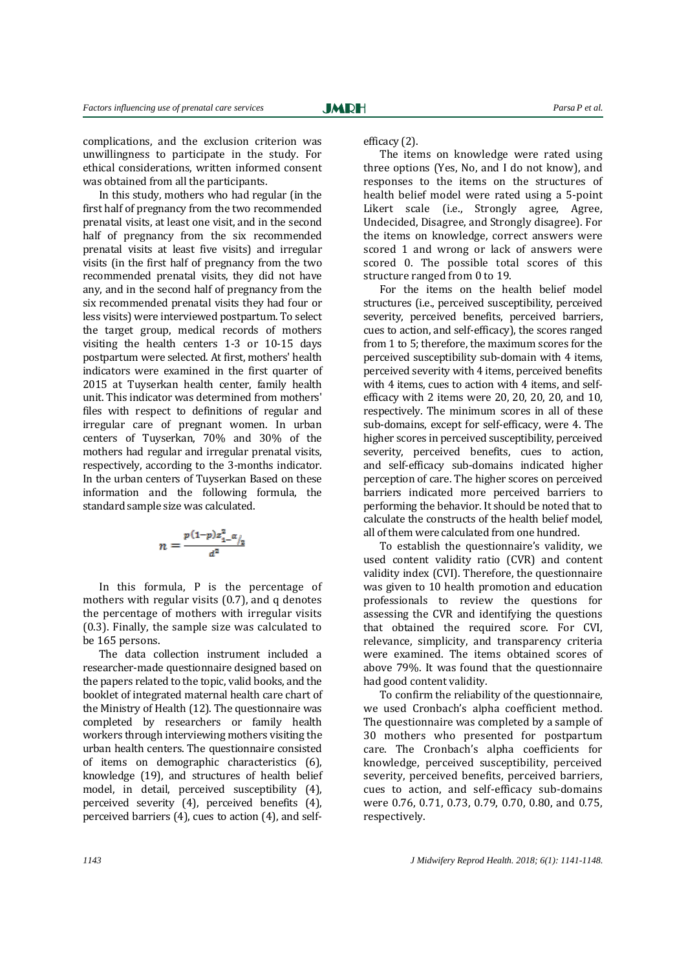complications, and the exclusion criterion was unwillingness to participate in the study. For ethical considerations, written informed consent was obtained from all the participants.

In this study, mothers who had regular (in the first half of pregnancy from the two recommended prenatal visits, at least one visit, and in the second half of pregnancy from the six recommended prenatal visits at least five visits) and irregular visits (in the first half of pregnancy from the two recommended prenatal visits, they did not have any, and in the second half of pregnancy from the six recommended prenatal visits they had four or less visits) were interviewed postpartum. To select the target group, medical records of mothers visiting the health centers 1-3 or 10-15 days postpartum were selected. At first, mothers' health indicators were examined in the first quarter of 2015 at Tuyserkan health center, family health unit. This indicator was determined from mothers' files with respect to definitions of regular and irregular care of pregnant women. In urban centers of Tuyserkan, 70% and 30% of the mothers had regular and irregular prenatal visits, respectively, according to the 3-months indicator. In the urban centers of Tuyserkan Based on these information and the following formula, the standard sample size was calculated.

$$
n = \frac{\frac{p(1-p)z_{1-}^2 \alpha}{a^2}}{a^2}
$$

In this formula, P is the percentage of mothers with regular visits (0.7), and q denotes the percentage of mothers with irregular visits (0.3). Finally, the sample size was calculated to be 165 persons.

The data collection instrument included a researcher-made questionnaire designed based on the papers related to the topic, valid books, and the booklet of integrated maternal health care chart of the Ministry of Health (12). The questionnaire was completed by researchers or family health workers through interviewing mothers visiting the urban health centers. The questionnaire consisted of items on demographic characteristics (6), knowledge (19), and structures of health belief model, in detail, perceived susceptibility (4), perceived severity (4), perceived benefits (4), perceived barriers (4), cues to action (4), and selfefficacy (2).

The items on knowledge were rated using three options (Yes, No, and I do not know), and responses to the items on the structures of health belief model were rated using a 5-point Likert scale (i.e., Strongly agree, Agree, Undecided, Disagree, and Strongly disagree). For the items on knowledge, correct answers were scored 1 and wrong or lack of answers were scored 0. The possible total scores of this structure ranged from 0 to 19.

For the items on the health belief model structures (i.e., perceived susceptibility, perceived severity, perceived benefits, perceived barriers, cues to action, and self-efficacy), the scores ranged from 1 to 5; therefore, the maximum scores for the perceived susceptibility sub-domain with 4 items, perceived severity with 4 items, perceived benefits with 4 items, cues to action with 4 items, and selfefficacy with 2 items were 20, 20, 20, 20, and 10, respectively. The minimum scores in all of these sub-domains, except for self-efficacy, were 4. The higher scores in perceived susceptibility, perceived severity, perceived benefits, cues to action, and self-efficacy sub-domains indicated higher perception of care. The higher scores on perceived barriers indicated more perceived barriers to performing the behavior. It should be noted that to calculate the constructs of the health belief model, all of them were calculated from one hundred.

To establish the questionnaire's validity, we used content validity ratio (CVR) and content validity index (CVI). Therefore, the questionnaire was given to 10 health promotion and education professionals to review the questions for assessing the CVR and identifying the questions that obtained the required score. For CVI, relevance, simplicity, and transparency criteria were examined. The items obtained scores of above 79%. It was found that the questionnaire had good content validity.

To confirm the reliability of the questionnaire, we used Cronbach's alpha coefficient method. The questionnaire was completed by a sample of 30 mothers who presented for postpartum care. The Cronbach's alpha coefficients for knowledge, perceived susceptibility, perceived severity, perceived benefits, perceived barriers, cues to action, and self-efficacy sub-domains were 0.76, 0.71, 0.73, 0.79, 0.70, 0.80, and 0.75, respectively.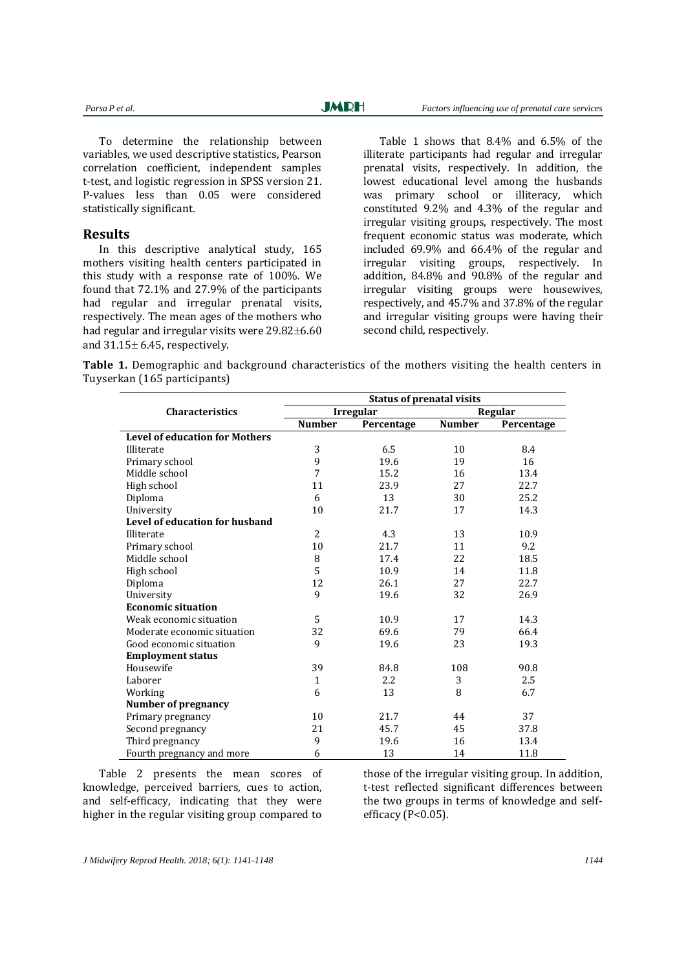To determine the relationship between variables, we used descriptive statistics, Pearson correlation coefficient, independent samples t-test, and logistic regression in SPSS version 21. P-values less than 0.05 were considered statistically significant.

## **Results**

In this descriptive analytical study, 165 mothers visiting health centers participated in this study with a response rate of 100%. We found that 72.1% and 27.9% of the participants had regular and irregular prenatal visits, respectively. The mean ages of the mothers who had regular and irregular visits were  $29.82\pm6.60$ and  $31.15 \pm 6.45$ , respectively.

Table 1 shows that 8.4% and 6.5% of the illiterate participants had regular and irregular prenatal visits, respectively. In addition, the lowest educational level among the husbands was primary school or illiteracy, which constituted 9.2% and 4.3% of the regular and irregular visiting groups, respectively. The most frequent economic status was moderate, which included 69.9% and 66.4% of the regular and irregular visiting groups, respectively. In addition, 84.8% and 90.8% of the regular and irregular visiting groups were housewives, respectively, and 45.7% and 37.8% of the regular and irregular visiting groups were having their second child, respectively.

**Table 1.** Demographic and background characteristics of the mothers visiting the health centers in Tuyserkan (165 participants)

|                                       | <b>Status of prenatal visits</b> |                  |               |            |  |  |
|---------------------------------------|----------------------------------|------------------|---------------|------------|--|--|
| <b>Characteristics</b>                |                                  | <b>Irregular</b> | Regular       |            |  |  |
|                                       | <b>Number</b>                    | Percentage       | <b>Number</b> | Percentage |  |  |
| <b>Level of education for Mothers</b> |                                  |                  |               |            |  |  |
| Illiterate                            | 3                                | 6.5              | 10            | 8.4        |  |  |
| Primary school                        | 9                                | 19.6             | 19            | 16         |  |  |
| Middle school                         | $\overline{7}$                   | 15.2             | 16            | 13.4       |  |  |
| High school                           | 11                               | 23.9             | 27            | 22.7       |  |  |
| Diploma                               | 6                                | 13               | 30            | 25.2       |  |  |
| University                            | 10                               | 21.7             | 17            | 14.3       |  |  |
| Level of education for husband        |                                  |                  |               |            |  |  |
| Illiterate                            | 2                                | 4.3              | 13            | 10.9       |  |  |
| Primary school                        | 10                               | 21.7             | 11            | 9.2        |  |  |
| Middle school                         | 8                                | 17.4             | 22            | 18.5       |  |  |
| High school                           | 5                                | 10.9             | 14            | 11.8       |  |  |
| Diploma                               | 12                               | 26.1             | 27            | 22.7       |  |  |
| University                            | 9                                | 19.6             | 32            | 26.9       |  |  |
| <b>Economic situation</b>             |                                  |                  |               |            |  |  |
| Weak economic situation               | 5                                | 10.9             | 17            | 14.3       |  |  |
| Moderate economic situation           | 32                               | 69.6             | 79            | 66.4       |  |  |
| Good economic situation               | 9                                | 19.6             | 23            | 19.3       |  |  |
| <b>Employment status</b>              |                                  |                  |               |            |  |  |
| Housewife                             | 39                               | 84.8             | 108           | 90.8       |  |  |
| Laborer                               | $\mathbf{1}$                     | 2.2              | 3             | 2.5        |  |  |
| Working                               | 6                                | 13               | 8             | 6.7        |  |  |
| Number of pregnancy                   |                                  |                  |               |            |  |  |
| Primary pregnancy                     | 10                               | 21.7             | 44            | 37         |  |  |
| Second pregnancy                      | 21                               | 45.7             | 45            | 37.8       |  |  |
| Third pregnancy                       | 9                                | 19.6             | 16            | 13.4       |  |  |
| Fourth pregnancy and more             | 6                                | 13               | 14            | 11.8       |  |  |

Table 2 presents the mean scores of knowledge, perceived barriers, cues to action, and self-efficacy, indicating that they were higher in the regular visiting group compared to

those of the irregular visiting group. In addition, t-test reflected significant differences between the two groups in terms of knowledge and selfefficacy (P<0.05).

*J Midwifery Reprod Health. 2018; 6(1): 1141-1148 1144*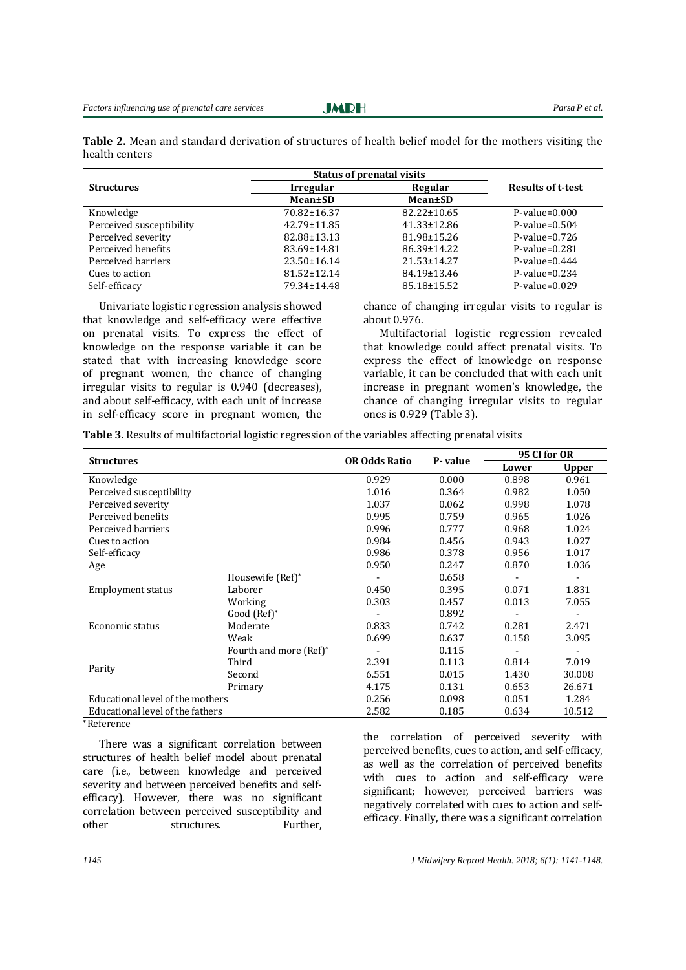**Table 2.** Mean and standard derivation of structures of health belief model for the mothers visiting the health centers

|                          | <b>Status of prenatal visits</b> |                   |                          |  |
|--------------------------|----------------------------------|-------------------|--------------------------|--|
| <b>Structures</b>        | <b>Irregular</b>                 | Regular           | <b>Results of t-test</b> |  |
|                          | <b>Mean</b> ±SD                  | Mean±SD           |                          |  |
| Knowledge                | 70.82±16.37                      | $82.22 \pm 10.65$ | $P-value=0.000$          |  |
| Perceived susceptibility | 42.79±11.85                      | $41.33 \pm 12.86$ | $P-value=0.504$          |  |
| Perceived severity       | 82.88±13.13                      | 81.98±15.26       | $P-value=0.726$          |  |
| Perceived benefits       | 83.69±14.81                      | 86.39±14.22       | $P-value=0.281$          |  |
| Perceived barriers       | 23.50±16.14                      | 21.53±14.27       | $P-value=0.444$          |  |
| Cues to action           | $81.52 \pm 12.14$                | 84.19±13.46       | $P-value=0.234$          |  |
| Self-efficacy            | 79.34±14.48                      | 85.18±15.52       | $P-value=0.029$          |  |

Univariate logistic regression analysis showed that knowledge and self-efficacy were effective on prenatal visits. To express the effect of knowledge on the response variable it can be stated that with increasing knowledge score of pregnant women, the chance of changing irregular visits to regular is 0.940 (decreases), and about self-efficacy, with each unit of increase in self-efficacy score in pregnant women, the

chance of changing irregular visits to regular is about 0.976.

Multifactorial logistic regression revealed that knowledge could affect prenatal visits. To express the effect of knowledge on response variable, it can be concluded that with each unit increase in pregnant women's knowledge, the chance of changing irregular visits to regular ones is 0.929 (Table 3).

**Table 3.** Results of multifactorial logistic regression of the variables affecting prenatal visits

|                                  |                        | <b>OR Odds Ratio</b>         |         | 95 CI for OR |              |  |
|----------------------------------|------------------------|------------------------------|---------|--------------|--------------|--|
| <b>Structures</b>                |                        |                              | P-value | Lower        | <b>Upper</b> |  |
| Knowledge                        |                        | 0.929                        | 0.000   | 0.898        | 0.961        |  |
| Perceived susceptibility         |                        | 1.016                        | 0.364   | 0.982        | 1.050        |  |
| Perceived severity               |                        | 1.037                        | 0.062   | 0.998        | 1.078        |  |
| Perceived benefits               |                        | 0.995                        | 0.759   | 0.965        | 1.026        |  |
| Perceived barriers               |                        | 0.996                        | 0.777   | 0.968        | 1.024        |  |
| Cues to action                   |                        | 0.984                        | 0.456   | 0.943        | 1.027        |  |
| Self-efficacy                    |                        | 0.986                        | 0.378   | 0.956        | 1.017        |  |
| Age                              |                        | 0.950                        | 0.247   | 0.870        | 1.036        |  |
|                                  | Housewife (Ref)*       |                              | 0.658   |              |              |  |
| <b>Employment status</b>         | Laborer                | 0.450                        | 0.395   | 0.071        | 1.831        |  |
|                                  | Working                | 0.303                        | 0.457   | 0.013        | 7.055        |  |
|                                  | Good (Ref)*            |                              | 0.892   |              |              |  |
| Economic status                  | Moderate               | 0.833                        | 0.742   | 0.281        | 2.471        |  |
|                                  | Weak                   | 0.699                        | 0.637   | 0.158        | 3.095        |  |
| Parity                           | Fourth and more (Ref)* | $\qquad \qquad \blacksquare$ | 0.115   |              |              |  |
|                                  | Third                  | 2.391                        | 0.113   | 0.814        | 7.019        |  |
|                                  | Second                 | 6.551                        | 0.015   | 1.430        | 30.008       |  |
|                                  | Primary                | 4.175                        | 0.131   | 0.653        | 26.671       |  |
| Educational level of the mothers |                        | 0.256                        | 0.098   | 0.051        | 1.284        |  |
| Educational level of the fathers |                        | 2.582                        | 0.185   | 0.634        | 10.512       |  |

**\*** Reference

There was a significant correlation between structures of health belief model about prenatal care (i.e., between knowledge and perceived severity and between perceived benefits and selfefficacy). However, there was no significant correlation between perceived susceptibility and other structures. Further, the correlation of perceived severity with perceived benefits, cues to action, and self-efficacy, as well as the correlation of perceived benefits with cues to action and self-efficacy were significant; however, perceived barriers was negatively correlated with cues to action and selfefficacy. Finally, there was a significant correlation

*1145 J Midwifery Reprod Health. 2018; 6(1): 1141-1148.*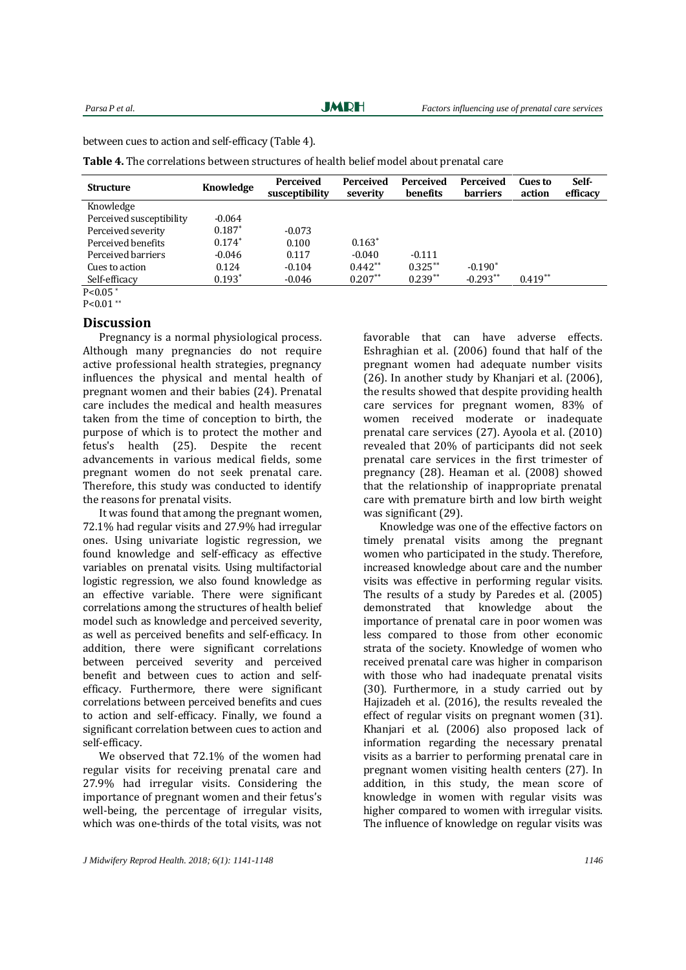**JMRH** 

between cues to action and self-efficacy (Table 4).

**Table 4.** The correlations between structures of health belief model about prenatal care

| <b>Structure</b>         | <b>Knowledge</b> | <b>Perceived</b><br>susceptibility | <b>Perceived</b><br>severity | <b>Perceived</b><br>benefits | <b>Perceived</b><br><b>barriers</b> | <b>Cues</b> to<br>action | Self-<br>efficacy |
|--------------------------|------------------|------------------------------------|------------------------------|------------------------------|-------------------------------------|--------------------------|-------------------|
| Knowledge                |                  |                                    |                              |                              |                                     |                          |                   |
| Perceived susceptibility | $-0.064$         |                                    |                              |                              |                                     |                          |                   |
| Perceived severity       | $0.187*$         | $-0.073$                           |                              |                              |                                     |                          |                   |
| Perceived benefits       | $0.174*$         | 0.100                              | $0.163*$                     |                              |                                     |                          |                   |
| Perceived barriers       | $-0.046$         | 0.117                              | $-0.040$                     | $-0.111$                     |                                     |                          |                   |
| Cues to action           | 0.124            | $-0.104$                           | $0.442**$                    | $0.325**$                    | $-0.190*$                           |                          |                   |
| Self-efficacy            | $0.193*$         | $-0.046$                           | $0.207**$                    | $0.239**$                    | $-0.293**$                          | $0.419**$                |                   |
| $P < 0.05$ *             |                  |                                    |                              |                              |                                     |                          |                   |

 $P < 0.01$ \*\*

#### **Discussion**

Pregnancy is a normal physiological process. Although many pregnancies do not require active professional health strategies, pregnancy influences the physical and mental health of pregnant women and their babies (24). Prenatal care includes the medical and health measures taken from the time of conception to birth, the purpose of which is to protect the mother and fetus's health (25). Despite the recent advancements in various medical fields, some pregnant women do not seek prenatal care. Therefore, this study was conducted to identify the reasons for prenatal visits.

It was found that among the pregnant women, 72.1% had regular visits and 27.9% had irregular ones. Using univariate logistic regression, we found knowledge and self-efficacy as effective variables on prenatal visits. Using multifactorial logistic regression, we also found knowledge as an effective variable. There were significant correlations among the structures of health belief model such as knowledge and perceived severity, as well as perceived benefits and self-efficacy. In addition, there were significant correlations between perceived severity and perceived benefit and between cues to action and selfefficacy. Furthermore, there were significant correlations between perceived benefits and cues to action and self-efficacy. Finally, we found a significant correlation between cues to action and self-efficacy.

We observed that 72.1% of the women had regular visits for receiving prenatal care and 27.9% had irregular visits. Considering the importance of pregnant women and their fetus's well-being, the percentage of irregular visits, which was one-thirds of the total visits, was not favorable that can have adverse effects. Eshraghian et al. (2006) found that half of the pregnant women had adequate number visits (26). In another study by Khanjari et al. (2006), the results showed that despite providing health care services for pregnant women, 83% of women received moderate or inadequate prenatal care services (27). Ayoola et al. (2010) revealed that 20% of participants did not seek prenatal care services in the first trimester of pregnancy (28). Heaman et al. (2008) showed that the relationship of inappropriate prenatal care with premature birth and low birth weight was significant (29).

Knowledge was one of the effective factors on timely prenatal visits among the pregnant women who participated in the study. Therefore, increased knowledge about care and the number visits was effective in performing regular visits. The results of a study by Paredes et al. (2005) demonstrated that knowledge about the importance of prenatal care in poor women was less compared to those from other economic strata of the society. Knowledge of women who received prenatal care was higher in comparison with those who had inadequate prenatal visits (30). Furthermore, in a study carried out by Hajizadeh et al. (2016), the results revealed the effect of regular visits on pregnant women (31). Khanjari et al. (2006) also proposed lack of information regarding the necessary prenatal visits as a barrier to performing prenatal care in pregnant women visiting health centers (27). In addition, in this study, the mean score of knowledge in women with regular visits was higher compared to women with irregular visits. The influence of knowledge on regular visits was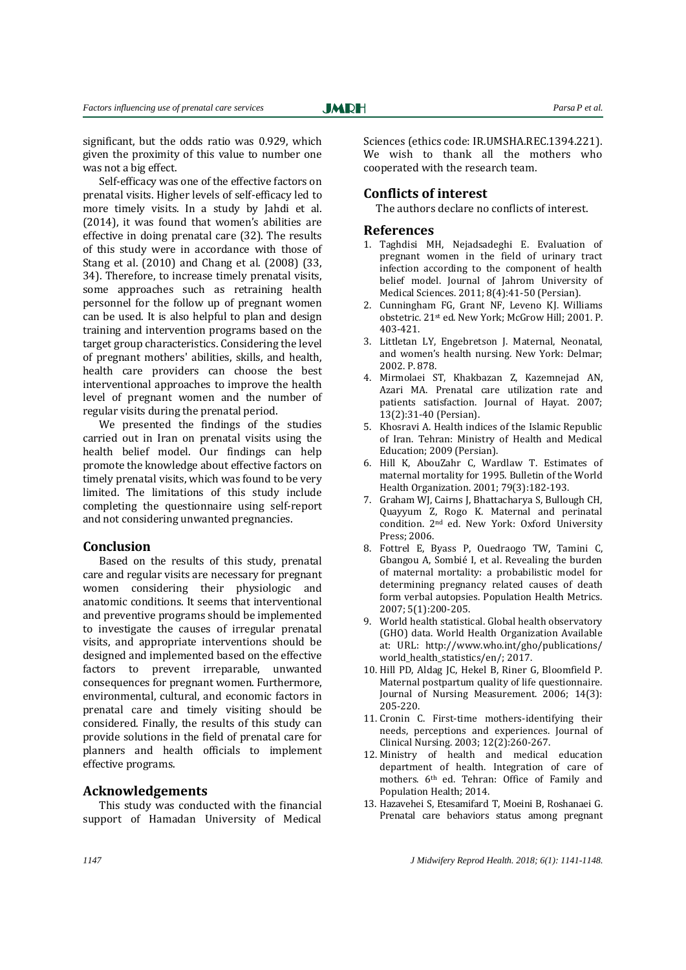significant, but the odds ratio was 0.929, which given the proximity of this value to number one was not a big effect.

Self-efficacy was one of the effective factors on prenatal visits. Higher levels of self-efficacy led to more timely visits. In a study by Jahdi et al. (2014), it was found that women's abilities are effective in doing prenatal care (32). The results of this study were in accordance with those of Stang et al. (2010) and Chang et al. (2008) (33, 34). Therefore, to increase timely prenatal visits, some approaches such as retraining health personnel for the follow up of pregnant women can be used. It is also helpful to plan and design training and intervention programs based on the target group characteristics. Considering the level of pregnant mothers' abilities, skills, and health, health care providers can choose the best interventional approaches to improve the health level of pregnant women and the number of regular visits during the prenatal period.

We presented the findings of the studies carried out in Iran on prenatal visits using the health belief model. Our findings can help promote the knowledge about effective factors on timely prenatal visits, which was found to be very limited. The limitations of this study include completing the questionnaire using self-report and not considering unwanted pregnancies.

#### **Conclusion**

Based on the results of this study, prenatal care and regular visits are necessary for pregnant women considering their physiologic and anatomic conditions. It seems that interventional and preventive programs should be implemented to investigate the causes of irregular prenatal visits, and appropriate interventions should be designed and implemented based on the effective factors to prevent irreparable, unwanted consequences for pregnant women. Furthermore, environmental, cultural, and economic factors in prenatal care and timely visiting should be considered. Finally, the results of this study can provide solutions in the field of prenatal care for planners and health officials to implement effective programs.

## **Acknowledgements**

This study was conducted with the financial support of Hamadan University of Medical Sciences (ethics code: IR.UMSHA.REC.1394.221). We wish to thank all the mothers who cooperated with the research team.

## **Conflicts of interest**

The authors declare no conflicts of interest.

#### **References**

- 1. Taghdisi MH, Nejadsadeghi E. Evaluation of pregnant women in the field of urinary tract infection according to the component of health belief model. Journal of Jahrom University of Medical Sciences. 2011; 8(4):41-50 (Persian).
- 2. Cunningham FG, Grant NF, Leveno KJ. Williams obstetric. 21st ed. New York; McGrow Hill; 2001. P. 403-421.
- 3. Littletan LY, Engebretson J. Maternal, Neonatal, and women's health nursing. New York: Delmar; 2002. P. 878.
- 4. Mirmolaei ST, Khakbazan Z, Kazemnejad AN, Azari MA. Prenatal care utilization rate and patients satisfaction. Journal of Hayat. 2007; 13(2):31-40 (Persian).
- 5. Khosravi A. Health indices of the Islamic Republic of Iran. Tehran: Ministry of Health and Medical Education; 2009 (Persian).
- 6. Hill K, AbouZahr C, Wardlaw T. Estimates of maternal mortality for 1995. Bulletin of the World Health Organization. 2001; 79(3):182-193.
- 7. Graham WJ, Cairns J, Bhattacharya S, Bullough CH, Quayyum Z, Rogo K. Maternal and perinatal condition. 2nd ed. New York: Oxford University Press; 2006.
- 8. Fottrel E, Byass P, Ouedraogo TW, Tamini C, Gbangou A, Sombié I, et al. Revealing the burden of maternal mortality: a probabilistic model for determining pregnancy related causes of death form verbal autopsies. Population Health Metrics. 2007; 5(1):200-205.
- 9. World health statistical. Global health observatory (GHO) data. World Health Organization Available at: URL: [http://www.who.int/gho/publications/](http://www.who.int/gho/publications/world_health_statistics/en/) [world\\_health\\_statistics/en/;](http://www.who.int/gho/publications/world_health_statistics/en/) 2017.
- 10. Hill PD, Aldag JC, Hekel B, Riner G, Bloomfield P. Maternal postpartum quality of life questionnaire. Journal of Nursing Measurement. 2006; 14(3): 205-220.
- 11. Cronin C. First-time mothers-identifying their needs, perceptions and experiences. Journal of Clinical Nursing. 2003; 12(2):260-267.
- 12. Ministry of health and medical education department of health. Integration of care of mothers. 6th ed. Tehran: Office of Family and Population Health; 2014.
- 13. Hazavehei S, Etesamifard T, Moeini B, Roshanaei G. [Prenatal care behaviors status among pregnant](https://scholar.google.com/citations?view_op=view_citation&hl=en&user=79H5hR8AAAAJ&cstart=20&pagesize=80&sortby=pubdate&citation_for_view=79H5hR8AAAAJ:M3NEmzRMIkIC)

*1147 J Midwifery Reprod Health. 2018; 6(1): 1141-1148.*